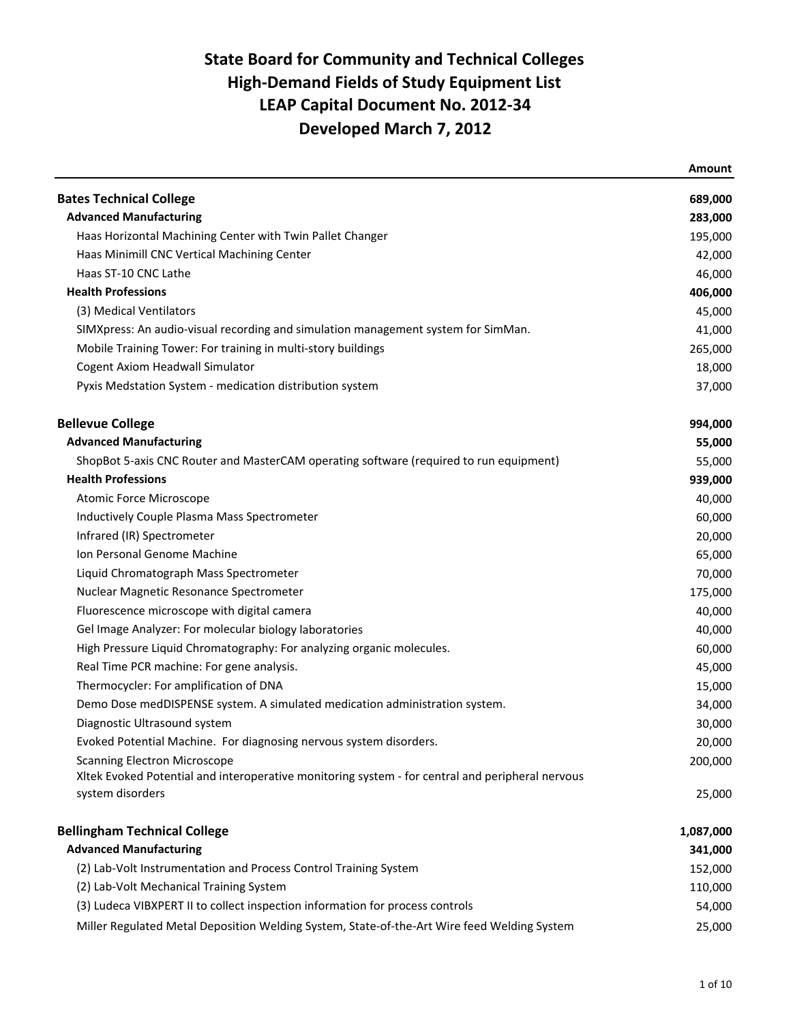|                                                                                                  | <b>Amount</b> |
|--------------------------------------------------------------------------------------------------|---------------|
| <b>Bates Technical College</b>                                                                   | 689,000       |
| <b>Advanced Manufacturing</b>                                                                    | 283,000       |
| Haas Horizontal Machining Center with Twin Pallet Changer                                        | 195,000       |
| Haas Minimill CNC Vertical Machining Center                                                      | 42,000        |
| Haas ST-10 CNC Lathe                                                                             | 46,000        |
| <b>Health Professions</b>                                                                        | 406,000       |
| (3) Medical Ventilators                                                                          | 45,000        |
| SIMXpress: An audio-visual recording and simulation management system for SimMan.                | 41,000        |
| Mobile Training Tower: For training in multi-story buildings                                     | 265,000       |
| Cogent Axiom Headwall Simulator                                                                  | 18,000        |
| Pyxis Medstation System - medication distribution system                                         | 37,000        |
| <b>Bellevue College</b>                                                                          | 994,000       |
| <b>Advanced Manufacturing</b>                                                                    | 55,000        |
| ShopBot 5-axis CNC Router and MasterCAM operating software (required to run equipment)           | 55,000        |
| <b>Health Professions</b>                                                                        | 939,000       |
| <b>Atomic Force Microscope</b>                                                                   | 40,000        |
| Inductively Couple Plasma Mass Spectrometer                                                      | 60,000        |
| Infrared (IR) Spectrometer                                                                       | 20,000        |
| Ion Personal Genome Machine                                                                      | 65,000        |
| Liquid Chromatograph Mass Spectrometer                                                           | 70,000        |
| Nuclear Magnetic Resonance Spectrometer                                                          | 175,000       |
| Fluorescence microscope with digital camera                                                      | 40,000        |
| Gel Image Analyzer: For molecular biology laboratories                                           | 40,000        |
| High Pressure Liquid Chromatography: For analyzing organic molecules.                            | 60,000        |
| Real Time PCR machine: For gene analysis.                                                        | 45,000        |
| Thermocycler: For amplification of DNA                                                           | 15,000        |
| Demo Dose medDISPENSE system. A simulated medication administration system.                      | 34,000        |
| Diagnostic Ultrasound system                                                                     | 30,000        |
| Evoked Potential Machine. For diagnosing nervous system disorders.                               | 20,000        |
| <b>Scanning Electron Microscope</b>                                                              | 200,000       |
| XItek Evoked Potential and interoperative monitoring system - for central and peripheral nervous |               |
| system disorders                                                                                 | 25,000        |
| <b>Bellingham Technical College</b>                                                              | 1,087,000     |
| <b>Advanced Manufacturing</b>                                                                    | 341,000       |
| (2) Lab-Volt Instrumentation and Process Control Training System                                 | 152,000       |
| (2) Lab-Volt Mechanical Training System                                                          | 110,000       |
| (3) Ludeca VIBXPERT II to collect inspection information for process controls                    | 54,000        |
| Miller Regulated Metal Deposition Welding System, State-of-the-Art Wire feed Welding System      | 25,000        |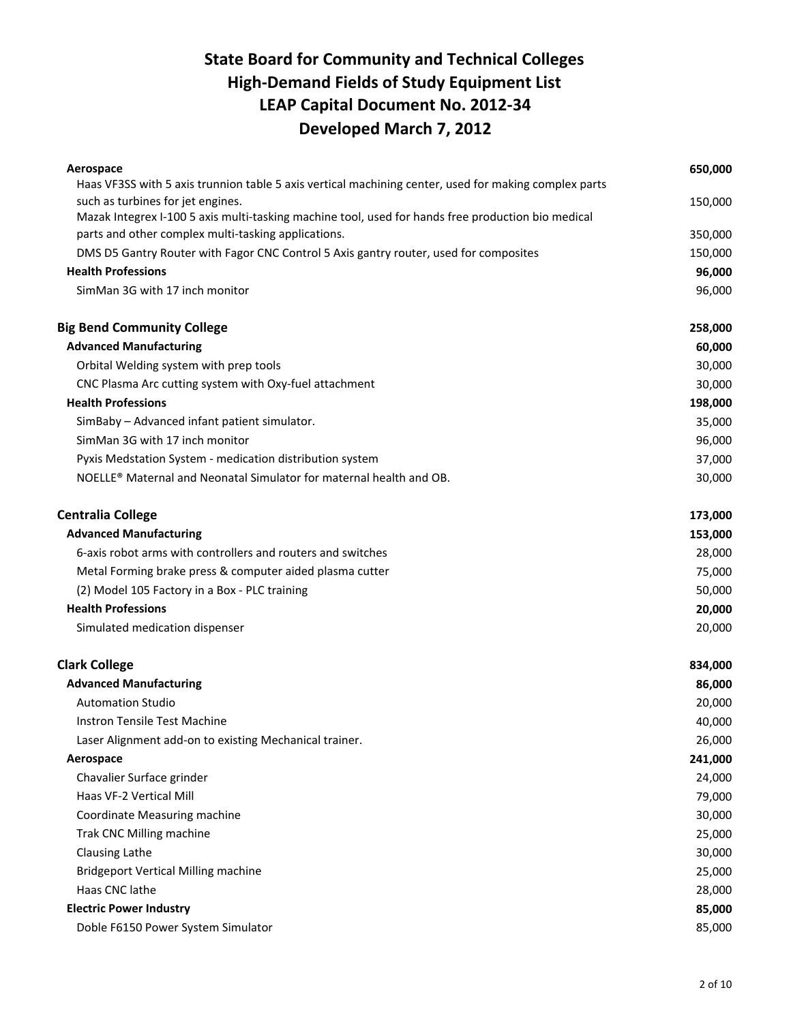| Aerospace                                                                                             | 650,000 |
|-------------------------------------------------------------------------------------------------------|---------|
| Haas VF3SS with 5 axis trunnion table 5 axis vertical machining center, used for making complex parts |         |
| such as turbines for jet engines.                                                                     | 150,000 |
| Mazak Integrex I-100 5 axis multi-tasking machine tool, used for hands free production bio medical    |         |
| parts and other complex multi-tasking applications.                                                   | 350,000 |
| DMS D5 Gantry Router with Fagor CNC Control 5 Axis gantry router, used for composites                 | 150,000 |
| <b>Health Professions</b>                                                                             | 96,000  |
| SimMan 3G with 17 inch monitor                                                                        | 96,000  |
| <b>Big Bend Community College</b>                                                                     | 258,000 |
| <b>Advanced Manufacturing</b>                                                                         | 60,000  |
| Orbital Welding system with prep tools                                                                | 30,000  |
| CNC Plasma Arc cutting system with Oxy-fuel attachment                                                | 30,000  |
| <b>Health Professions</b>                                                                             | 198,000 |
| SimBaby - Advanced infant patient simulator.                                                          | 35,000  |
| SimMan 3G with 17 inch monitor                                                                        | 96,000  |
| Pyxis Medstation System - medication distribution system                                              | 37,000  |
| NOELLE® Maternal and Neonatal Simulator for maternal health and OB.                                   | 30,000  |
| <b>Centralia College</b>                                                                              | 173,000 |
| <b>Advanced Manufacturing</b>                                                                         | 153,000 |
| 6-axis robot arms with controllers and routers and switches                                           | 28,000  |
| Metal Forming brake press & computer aided plasma cutter                                              | 75,000  |
| (2) Model 105 Factory in a Box - PLC training                                                         | 50,000  |
| <b>Health Professions</b>                                                                             | 20,000  |
| Simulated medication dispenser                                                                        | 20,000  |
| <b>Clark College</b>                                                                                  | 834,000 |
| <b>Advanced Manufacturing</b>                                                                         | 86,000  |
| <b>Automation Studio</b>                                                                              | 20,000  |
| Instron Tensile Test Machine                                                                          | 40,000  |
| Laser Alignment add-on to existing Mechanical trainer.                                                | 26,000  |
| Aerospace                                                                                             | 241,000 |
| Chavalier Surface grinder                                                                             | 24,000  |
| Haas VF-2 Vertical Mill                                                                               | 79,000  |
| Coordinate Measuring machine                                                                          | 30,000  |
| Trak CNC Milling machine                                                                              | 25,000  |
| <b>Clausing Lathe</b>                                                                                 | 30,000  |
| <b>Bridgeport Vertical Milling machine</b>                                                            | 25,000  |
| Haas CNC lathe                                                                                        | 28,000  |
| <b>Electric Power Industry</b>                                                                        | 85,000  |
| Doble F6150 Power System Simulator                                                                    | 85,000  |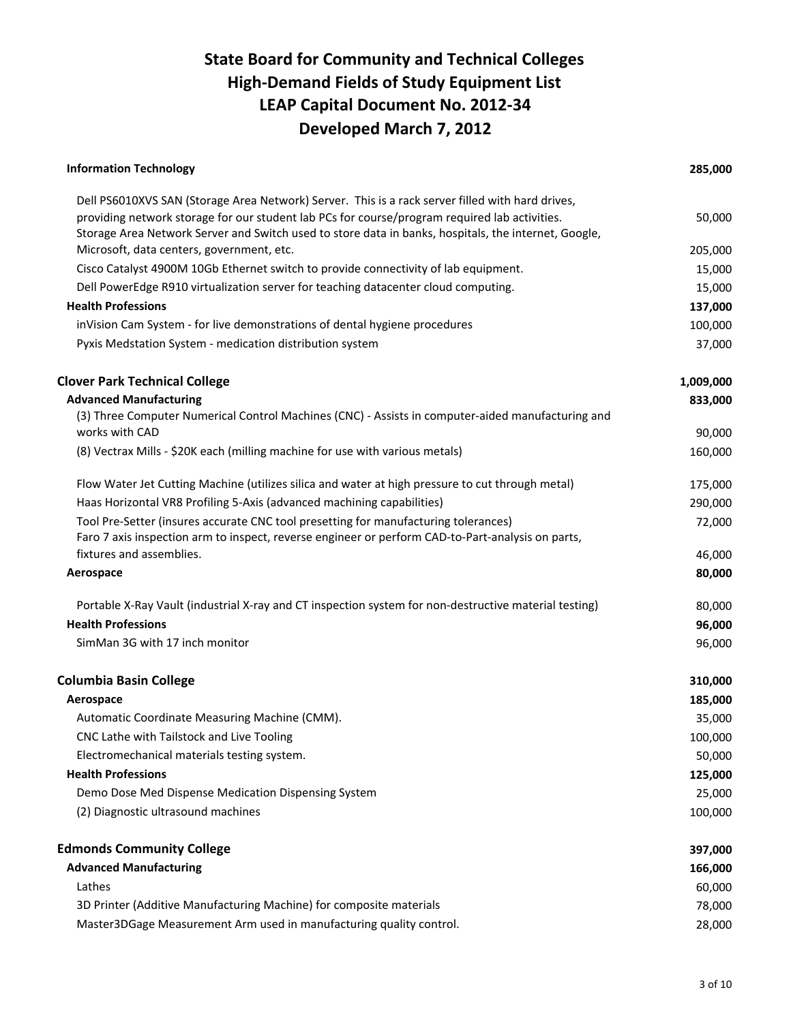| Dell PS6010XVS SAN (Storage Area Network) Server. This is a rack server filled with hard drives,<br>providing network storage for our student lab PCs for course/program required lab activities.<br>Storage Area Network Server and Switch used to store data in banks, hospitals, the internet, Google,<br>Microsoft, data centers, government, etc.<br>Cisco Catalyst 4900M 10Gb Ethernet switch to provide connectivity of lab equipment.<br>Dell PowerEdge R910 virtualization server for teaching datacenter cloud computing.<br><b>Health Professions</b><br>inVision Cam System - for live demonstrations of dental hygiene procedures<br>Pyxis Medstation System - medication distribution system<br><b>Advanced Manufacturing</b><br>(3) Three Computer Numerical Control Machines (CNC) - Assists in computer-aided manufacturing and<br>works with CAD<br>(8) Vectrax Mills - \$20K each (milling machine for use with various metals)<br>Flow Water Jet Cutting Machine (utilizes silica and water at high pressure to cut through metal)<br>Haas Horizontal VR8 Profiling 5-Axis (advanced machining capabilities)<br>Tool Pre-Setter (insures accurate CNC tool presetting for manufacturing tolerances)<br>Faro 7 axis inspection arm to inspect, reverse engineer or perform CAD-to-Part-analysis on parts,<br>fixtures and assemblies.<br>Aerospace<br>Portable X-Ray Vault (industrial X-ray and CT inspection system for non-destructive material testing)<br><b>Health Professions</b><br>SimMan 3G with 17 inch monitor<br>Aerospace<br>Automatic Coordinate Measuring Machine (CMM).<br>CNC Lathe with Tailstock and Live Tooling<br>Electromechanical materials testing system.<br><b>Health Professions</b><br>Demo Dose Med Dispense Medication Dispensing System<br>(2) Diagnostic ultrasound machines | <b>Information Technology</b> | 285,000   |
|-----------------------------------------------------------------------------------------------------------------------------------------------------------------------------------------------------------------------------------------------------------------------------------------------------------------------------------------------------------------------------------------------------------------------------------------------------------------------------------------------------------------------------------------------------------------------------------------------------------------------------------------------------------------------------------------------------------------------------------------------------------------------------------------------------------------------------------------------------------------------------------------------------------------------------------------------------------------------------------------------------------------------------------------------------------------------------------------------------------------------------------------------------------------------------------------------------------------------------------------------------------------------------------------------------------------------------------------------------------------------------------------------------------------------------------------------------------------------------------------------------------------------------------------------------------------------------------------------------------------------------------------------------------------------------------------------------------------------------------------------------------------------------------------------------------------------------------|-------------------------------|-----------|
| <b>Clover Park Technical College</b><br><b>Columbia Basin College</b>                                                                                                                                                                                                                                                                                                                                                                                                                                                                                                                                                                                                                                                                                                                                                                                                                                                                                                                                                                                                                                                                                                                                                                                                                                                                                                                                                                                                                                                                                                                                                                                                                                                                                                                                                             |                               |           |
|                                                                                                                                                                                                                                                                                                                                                                                                                                                                                                                                                                                                                                                                                                                                                                                                                                                                                                                                                                                                                                                                                                                                                                                                                                                                                                                                                                                                                                                                                                                                                                                                                                                                                                                                                                                                                                   |                               | 50,000    |
|                                                                                                                                                                                                                                                                                                                                                                                                                                                                                                                                                                                                                                                                                                                                                                                                                                                                                                                                                                                                                                                                                                                                                                                                                                                                                                                                                                                                                                                                                                                                                                                                                                                                                                                                                                                                                                   |                               | 205,000   |
|                                                                                                                                                                                                                                                                                                                                                                                                                                                                                                                                                                                                                                                                                                                                                                                                                                                                                                                                                                                                                                                                                                                                                                                                                                                                                                                                                                                                                                                                                                                                                                                                                                                                                                                                                                                                                                   |                               | 15,000    |
|                                                                                                                                                                                                                                                                                                                                                                                                                                                                                                                                                                                                                                                                                                                                                                                                                                                                                                                                                                                                                                                                                                                                                                                                                                                                                                                                                                                                                                                                                                                                                                                                                                                                                                                                                                                                                                   |                               | 15,000    |
|                                                                                                                                                                                                                                                                                                                                                                                                                                                                                                                                                                                                                                                                                                                                                                                                                                                                                                                                                                                                                                                                                                                                                                                                                                                                                                                                                                                                                                                                                                                                                                                                                                                                                                                                                                                                                                   |                               | 137,000   |
|                                                                                                                                                                                                                                                                                                                                                                                                                                                                                                                                                                                                                                                                                                                                                                                                                                                                                                                                                                                                                                                                                                                                                                                                                                                                                                                                                                                                                                                                                                                                                                                                                                                                                                                                                                                                                                   |                               | 100,000   |
|                                                                                                                                                                                                                                                                                                                                                                                                                                                                                                                                                                                                                                                                                                                                                                                                                                                                                                                                                                                                                                                                                                                                                                                                                                                                                                                                                                                                                                                                                                                                                                                                                                                                                                                                                                                                                                   |                               | 37,000    |
|                                                                                                                                                                                                                                                                                                                                                                                                                                                                                                                                                                                                                                                                                                                                                                                                                                                                                                                                                                                                                                                                                                                                                                                                                                                                                                                                                                                                                                                                                                                                                                                                                                                                                                                                                                                                                                   |                               | 1,009,000 |
|                                                                                                                                                                                                                                                                                                                                                                                                                                                                                                                                                                                                                                                                                                                                                                                                                                                                                                                                                                                                                                                                                                                                                                                                                                                                                                                                                                                                                                                                                                                                                                                                                                                                                                                                                                                                                                   |                               | 833,000   |
|                                                                                                                                                                                                                                                                                                                                                                                                                                                                                                                                                                                                                                                                                                                                                                                                                                                                                                                                                                                                                                                                                                                                                                                                                                                                                                                                                                                                                                                                                                                                                                                                                                                                                                                                                                                                                                   |                               |           |
|                                                                                                                                                                                                                                                                                                                                                                                                                                                                                                                                                                                                                                                                                                                                                                                                                                                                                                                                                                                                                                                                                                                                                                                                                                                                                                                                                                                                                                                                                                                                                                                                                                                                                                                                                                                                                                   |                               | 90,000    |
|                                                                                                                                                                                                                                                                                                                                                                                                                                                                                                                                                                                                                                                                                                                                                                                                                                                                                                                                                                                                                                                                                                                                                                                                                                                                                                                                                                                                                                                                                                                                                                                                                                                                                                                                                                                                                                   |                               | 160,000   |
|                                                                                                                                                                                                                                                                                                                                                                                                                                                                                                                                                                                                                                                                                                                                                                                                                                                                                                                                                                                                                                                                                                                                                                                                                                                                                                                                                                                                                                                                                                                                                                                                                                                                                                                                                                                                                                   |                               | 175,000   |
|                                                                                                                                                                                                                                                                                                                                                                                                                                                                                                                                                                                                                                                                                                                                                                                                                                                                                                                                                                                                                                                                                                                                                                                                                                                                                                                                                                                                                                                                                                                                                                                                                                                                                                                                                                                                                                   |                               | 290,000   |
|                                                                                                                                                                                                                                                                                                                                                                                                                                                                                                                                                                                                                                                                                                                                                                                                                                                                                                                                                                                                                                                                                                                                                                                                                                                                                                                                                                                                                                                                                                                                                                                                                                                                                                                                                                                                                                   |                               | 72,000    |
|                                                                                                                                                                                                                                                                                                                                                                                                                                                                                                                                                                                                                                                                                                                                                                                                                                                                                                                                                                                                                                                                                                                                                                                                                                                                                                                                                                                                                                                                                                                                                                                                                                                                                                                                                                                                                                   |                               | 46,000    |
|                                                                                                                                                                                                                                                                                                                                                                                                                                                                                                                                                                                                                                                                                                                                                                                                                                                                                                                                                                                                                                                                                                                                                                                                                                                                                                                                                                                                                                                                                                                                                                                                                                                                                                                                                                                                                                   |                               | 80,000    |
|                                                                                                                                                                                                                                                                                                                                                                                                                                                                                                                                                                                                                                                                                                                                                                                                                                                                                                                                                                                                                                                                                                                                                                                                                                                                                                                                                                                                                                                                                                                                                                                                                                                                                                                                                                                                                                   |                               | 80,000    |
|                                                                                                                                                                                                                                                                                                                                                                                                                                                                                                                                                                                                                                                                                                                                                                                                                                                                                                                                                                                                                                                                                                                                                                                                                                                                                                                                                                                                                                                                                                                                                                                                                                                                                                                                                                                                                                   |                               | 96,000    |
|                                                                                                                                                                                                                                                                                                                                                                                                                                                                                                                                                                                                                                                                                                                                                                                                                                                                                                                                                                                                                                                                                                                                                                                                                                                                                                                                                                                                                                                                                                                                                                                                                                                                                                                                                                                                                                   |                               | 96,000    |
|                                                                                                                                                                                                                                                                                                                                                                                                                                                                                                                                                                                                                                                                                                                                                                                                                                                                                                                                                                                                                                                                                                                                                                                                                                                                                                                                                                                                                                                                                                                                                                                                                                                                                                                                                                                                                                   |                               | 310,000   |
|                                                                                                                                                                                                                                                                                                                                                                                                                                                                                                                                                                                                                                                                                                                                                                                                                                                                                                                                                                                                                                                                                                                                                                                                                                                                                                                                                                                                                                                                                                                                                                                                                                                                                                                                                                                                                                   |                               | 185,000   |
|                                                                                                                                                                                                                                                                                                                                                                                                                                                                                                                                                                                                                                                                                                                                                                                                                                                                                                                                                                                                                                                                                                                                                                                                                                                                                                                                                                                                                                                                                                                                                                                                                                                                                                                                                                                                                                   |                               | 35,000    |
|                                                                                                                                                                                                                                                                                                                                                                                                                                                                                                                                                                                                                                                                                                                                                                                                                                                                                                                                                                                                                                                                                                                                                                                                                                                                                                                                                                                                                                                                                                                                                                                                                                                                                                                                                                                                                                   |                               | 100,000   |
|                                                                                                                                                                                                                                                                                                                                                                                                                                                                                                                                                                                                                                                                                                                                                                                                                                                                                                                                                                                                                                                                                                                                                                                                                                                                                                                                                                                                                                                                                                                                                                                                                                                                                                                                                                                                                                   |                               | 50,000    |
|                                                                                                                                                                                                                                                                                                                                                                                                                                                                                                                                                                                                                                                                                                                                                                                                                                                                                                                                                                                                                                                                                                                                                                                                                                                                                                                                                                                                                                                                                                                                                                                                                                                                                                                                                                                                                                   |                               | 125,000   |
|                                                                                                                                                                                                                                                                                                                                                                                                                                                                                                                                                                                                                                                                                                                                                                                                                                                                                                                                                                                                                                                                                                                                                                                                                                                                                                                                                                                                                                                                                                                                                                                                                                                                                                                                                                                                                                   |                               | 25,000    |
|                                                                                                                                                                                                                                                                                                                                                                                                                                                                                                                                                                                                                                                                                                                                                                                                                                                                                                                                                                                                                                                                                                                                                                                                                                                                                                                                                                                                                                                                                                                                                                                                                                                                                                                                                                                                                                   |                               | 100,000   |
| <b>Edmonds Community College</b>                                                                                                                                                                                                                                                                                                                                                                                                                                                                                                                                                                                                                                                                                                                                                                                                                                                                                                                                                                                                                                                                                                                                                                                                                                                                                                                                                                                                                                                                                                                                                                                                                                                                                                                                                                                                  |                               | 397,000   |
| <b>Advanced Manufacturing</b>                                                                                                                                                                                                                                                                                                                                                                                                                                                                                                                                                                                                                                                                                                                                                                                                                                                                                                                                                                                                                                                                                                                                                                                                                                                                                                                                                                                                                                                                                                                                                                                                                                                                                                                                                                                                     |                               | 166,000   |
| Lathes                                                                                                                                                                                                                                                                                                                                                                                                                                                                                                                                                                                                                                                                                                                                                                                                                                                                                                                                                                                                                                                                                                                                                                                                                                                                                                                                                                                                                                                                                                                                                                                                                                                                                                                                                                                                                            |                               | 60,000    |
| 3D Printer (Additive Manufacturing Machine) for composite materials                                                                                                                                                                                                                                                                                                                                                                                                                                                                                                                                                                                                                                                                                                                                                                                                                                                                                                                                                                                                                                                                                                                                                                                                                                                                                                                                                                                                                                                                                                                                                                                                                                                                                                                                                               |                               | 78,000    |
| Master3DGage Measurement Arm used in manufacturing quality control.                                                                                                                                                                                                                                                                                                                                                                                                                                                                                                                                                                                                                                                                                                                                                                                                                                                                                                                                                                                                                                                                                                                                                                                                                                                                                                                                                                                                                                                                                                                                                                                                                                                                                                                                                               |                               | 28,000    |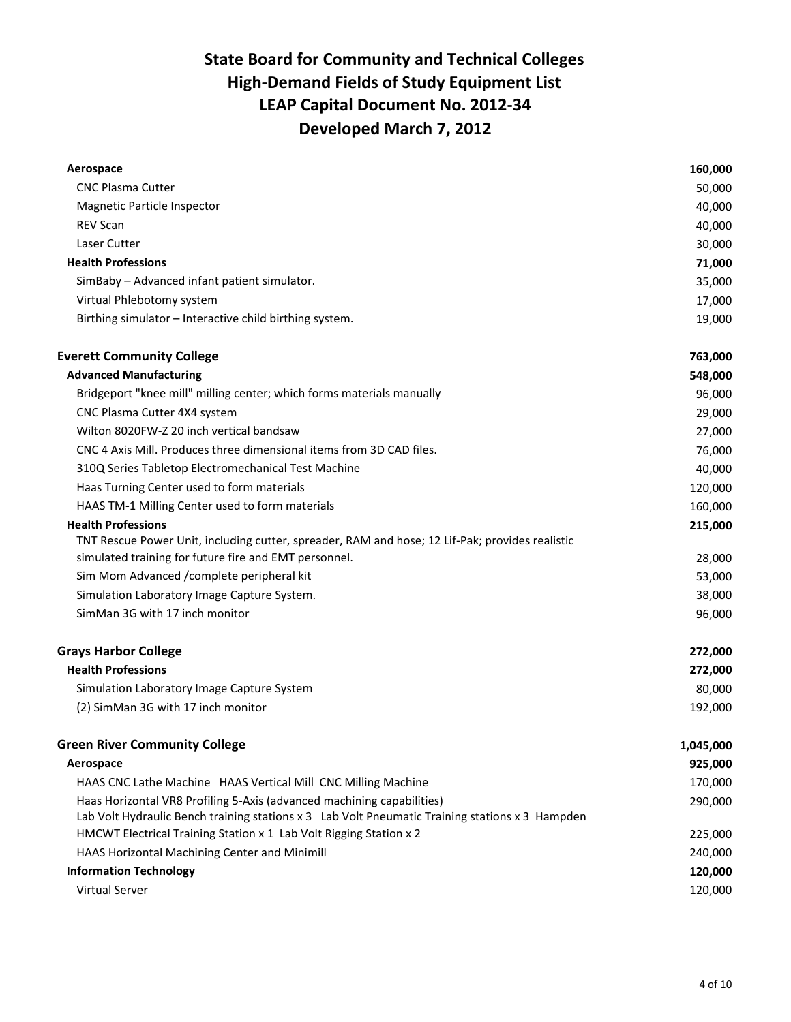| Aerospace                                                                                       | 160,000   |
|-------------------------------------------------------------------------------------------------|-----------|
| <b>CNC Plasma Cutter</b>                                                                        | 50,000    |
| Magnetic Particle Inspector                                                                     | 40,000    |
| <b>REV Scan</b>                                                                                 | 40,000    |
| Laser Cutter                                                                                    | 30,000    |
| <b>Health Professions</b>                                                                       | 71,000    |
| SimBaby - Advanced infant patient simulator.                                                    | 35,000    |
| Virtual Phlebotomy system                                                                       | 17,000    |
| Birthing simulator - Interactive child birthing system.                                         | 19,000    |
| <b>Everett Community College</b>                                                                | 763,000   |
| <b>Advanced Manufacturing</b>                                                                   | 548,000   |
| Bridgeport "knee mill" milling center; which forms materials manually                           | 96,000    |
| CNC Plasma Cutter 4X4 system                                                                    | 29,000    |
| Wilton 8020FW-Z 20 inch vertical bandsaw                                                        | 27,000    |
| CNC 4 Axis Mill. Produces three dimensional items from 3D CAD files.                            | 76,000    |
| 310Q Series Tabletop Electromechanical Test Machine                                             | 40,000    |
| Haas Turning Center used to form materials                                                      | 120,000   |
| HAAS TM-1 Milling Center used to form materials                                                 | 160,000   |
| <b>Health Professions</b>                                                                       | 215,000   |
| TNT Rescue Power Unit, including cutter, spreader, RAM and hose; 12 Lif-Pak; provides realistic |           |
| simulated training for future fire and EMT personnel.                                           | 28,000    |
| Sim Mom Advanced /complete peripheral kit                                                       | 53,000    |
| Simulation Laboratory Image Capture System.                                                     | 38,000    |
| SimMan 3G with 17 inch monitor                                                                  | 96,000    |
| <b>Grays Harbor College</b>                                                                     | 272,000   |
| <b>Health Professions</b>                                                                       | 272,000   |
| Simulation Laboratory Image Capture System                                                      | 80,000    |
| (2) SimMan 3G with 17 inch monitor                                                              | 192,000   |
| <b>Green River Community College</b>                                                            | 1,045,000 |
| Aerospace                                                                                       | 925,000   |
| HAAS CNC Lathe Machine HAAS Vertical Mill CNC Milling Machine                                   | 170,000   |
| Haas Horizontal VR8 Profiling 5-Axis (advanced machining capabilities)                          | 290,000   |
| Lab Volt Hydraulic Bench training stations x 3 Lab Volt Pneumatic Training stations x 3 Hampden |           |
| HMCWT Electrical Training Station x 1 Lab Volt Rigging Station x 2                              | 225,000   |
| HAAS Horizontal Machining Center and Minimill                                                   | 240,000   |
| <b>Information Technology</b>                                                                   | 120,000   |
| Virtual Server                                                                                  | 120,000   |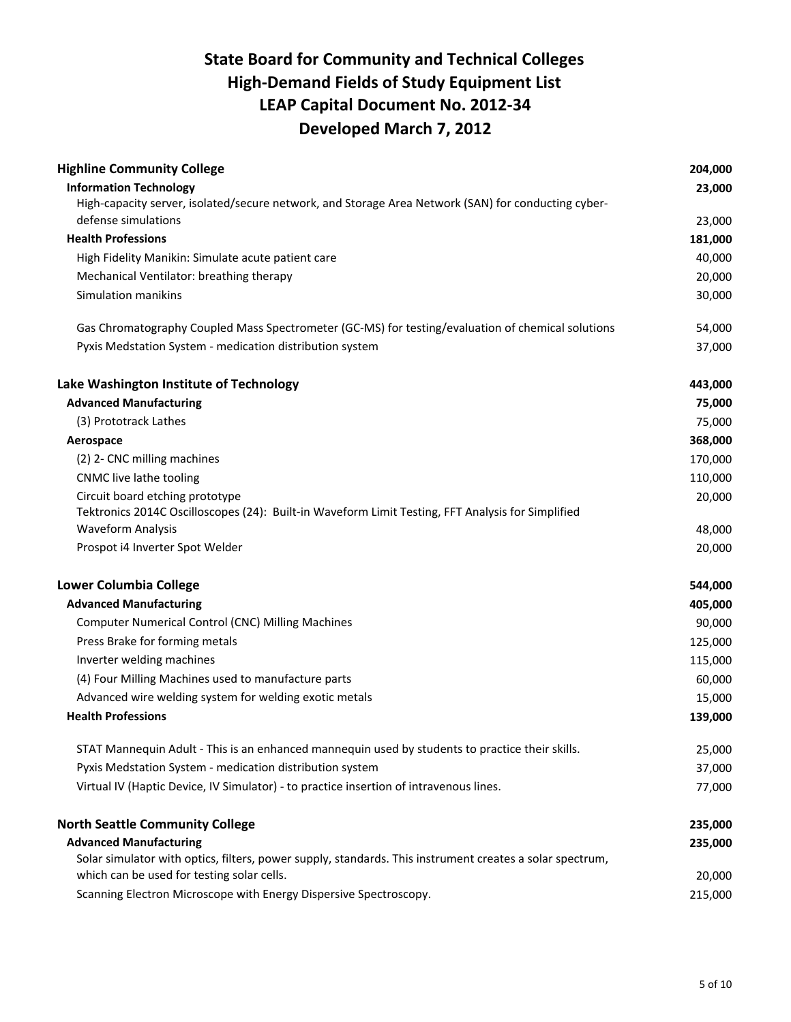| <b>Highline Community College</b>                                                                        | 204,000 |
|----------------------------------------------------------------------------------------------------------|---------|
| <b>Information Technology</b>                                                                            | 23,000  |
| High-capacity server, isolated/secure network, and Storage Area Network (SAN) for conducting cyber-      |         |
| defense simulations                                                                                      | 23,000  |
| <b>Health Professions</b>                                                                                | 181,000 |
| High Fidelity Manikin: Simulate acute patient care                                                       | 40,000  |
| Mechanical Ventilator: breathing therapy                                                                 | 20,000  |
| Simulation manikins                                                                                      | 30,000  |
| Gas Chromatography Coupled Mass Spectrometer (GC-MS) for testing/evaluation of chemical solutions        | 54,000  |
| Pyxis Medstation System - medication distribution system                                                 | 37,000  |
| Lake Washington Institute of Technology                                                                  | 443,000 |
| <b>Advanced Manufacturing</b>                                                                            | 75,000  |
| (3) Prototrack Lathes                                                                                    | 75,000  |
| Aerospace                                                                                                | 368,000 |
| (2) 2- CNC milling machines                                                                              | 170,000 |
| CNMC live lathe tooling                                                                                  | 110,000 |
| Circuit board etching prototype                                                                          | 20,000  |
| Tektronics 2014C Oscilloscopes (24): Built-in Waveform Limit Testing, FFT Analysis for Simplified        |         |
| <b>Waveform Analysis</b>                                                                                 | 48,000  |
| Prospot i4 Inverter Spot Welder                                                                          | 20,000  |
| <b>Lower Columbia College</b>                                                                            | 544,000 |
| <b>Advanced Manufacturing</b>                                                                            | 405,000 |
| <b>Computer Numerical Control (CNC) Milling Machines</b>                                                 | 90,000  |
| Press Brake for forming metals                                                                           | 125,000 |
| Inverter welding machines                                                                                | 115,000 |
| (4) Four Milling Machines used to manufacture parts                                                      | 60,000  |
| Advanced wire welding system for welding exotic metals                                                   | 15,000  |
| <b>Health Professions</b>                                                                                | 139,000 |
| STAT Mannequin Adult - This is an enhanced mannequin used by students to practice their skills.          | 25,000  |
| Pyxis Medstation System - medication distribution system                                                 | 37,000  |
| Virtual IV (Haptic Device, IV Simulator) - to practice insertion of intravenous lines.                   | 77,000  |
| <b>North Seattle Community College</b>                                                                   | 235,000 |
| <b>Advanced Manufacturing</b>                                                                            | 235,000 |
| Solar simulator with optics, filters, power supply, standards. This instrument creates a solar spectrum, |         |
| which can be used for testing solar cells.                                                               | 20,000  |
| Scanning Electron Microscope with Energy Dispersive Spectroscopy.                                        | 215,000 |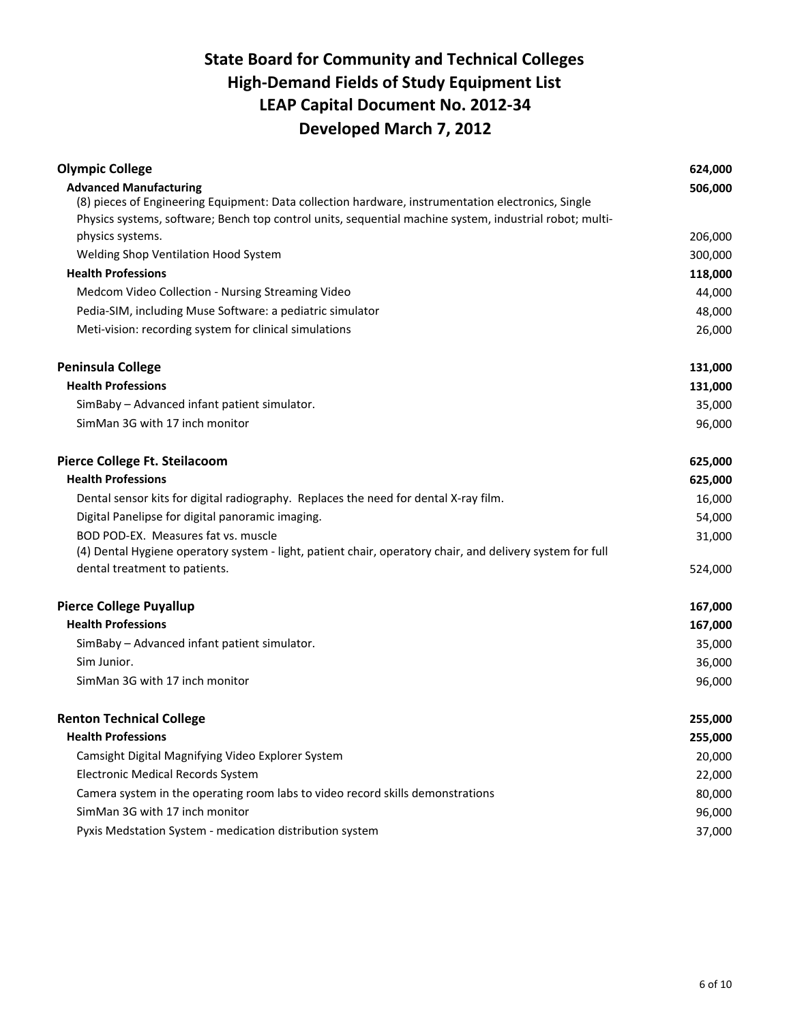| <b>Olympic College</b>                                                                                    | 624,000 |
|-----------------------------------------------------------------------------------------------------------|---------|
| <b>Advanced Manufacturing</b>                                                                             | 506,000 |
| (8) pieces of Engineering Equipment: Data collection hardware, instrumentation electronics, Single        |         |
| Physics systems, software; Bench top control units, sequential machine system, industrial robot; multi-   |         |
| physics systems.                                                                                          | 206,000 |
| Welding Shop Ventilation Hood System                                                                      | 300,000 |
| <b>Health Professions</b>                                                                                 | 118,000 |
| Medcom Video Collection - Nursing Streaming Video                                                         | 44,000  |
| Pedia-SIM, including Muse Software: a pediatric simulator                                                 | 48,000  |
| Meti-vision: recording system for clinical simulations                                                    | 26,000  |
| <b>Peninsula College</b>                                                                                  | 131,000 |
| <b>Health Professions</b>                                                                                 | 131,000 |
| SimBaby - Advanced infant patient simulator.                                                              | 35,000  |
| SimMan 3G with 17 inch monitor                                                                            | 96,000  |
| Pierce College Ft. Steilacoom                                                                             | 625,000 |
| <b>Health Professions</b>                                                                                 | 625,000 |
| Dental sensor kits for digital radiography. Replaces the need for dental X-ray film.                      | 16,000  |
| Digital Panelipse for digital panoramic imaging.                                                          | 54,000  |
| BOD POD-EX. Measures fat vs. muscle                                                                       | 31,000  |
| (4) Dental Hygiene operatory system - light, patient chair, operatory chair, and delivery system for full |         |
| dental treatment to patients.                                                                             | 524,000 |
| <b>Pierce College Puyallup</b>                                                                            | 167,000 |
| <b>Health Professions</b>                                                                                 | 167,000 |
| SimBaby - Advanced infant patient simulator.                                                              | 35,000  |
| Sim Junior.                                                                                               | 36,000  |
| SimMan 3G with 17 inch monitor                                                                            | 96,000  |
| <b>Renton Technical College</b>                                                                           | 255,000 |
| <b>Health Professions</b>                                                                                 | 255,000 |
| Camsight Digital Magnifying Video Explorer System                                                         | 20,000  |
| Electronic Medical Records System                                                                         | 22,000  |
| Camera system in the operating room labs to video record skills demonstrations                            | 80,000  |
| SimMan 3G with 17 inch monitor                                                                            | 96,000  |
| Pyxis Medstation System - medication distribution system                                                  | 37,000  |
|                                                                                                           |         |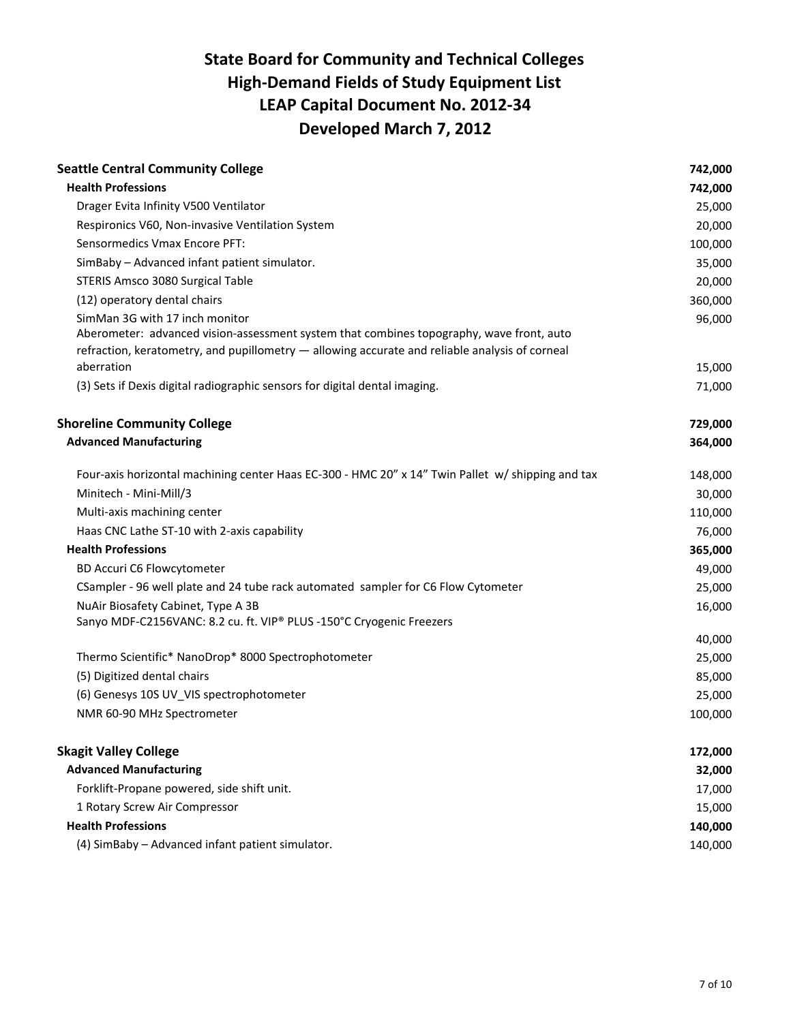| <b>Seattle Central Community College</b>                                                                                                                                                                                                   | 742,000          |
|--------------------------------------------------------------------------------------------------------------------------------------------------------------------------------------------------------------------------------------------|------------------|
| <b>Health Professions</b>                                                                                                                                                                                                                  | 742,000          |
| Drager Evita Infinity V500 Ventilator                                                                                                                                                                                                      | 25,000           |
| Respironics V60, Non-invasive Ventilation System                                                                                                                                                                                           | 20,000           |
| Sensormedics Vmax Encore PFT:                                                                                                                                                                                                              | 100,000          |
| SimBaby - Advanced infant patient simulator.                                                                                                                                                                                               | 35,000           |
| STERIS Amsco 3080 Surgical Table                                                                                                                                                                                                           | 20,000           |
| (12) operatory dental chairs                                                                                                                                                                                                               | 360,000          |
| SimMan 3G with 17 inch monitor<br>Aberometer: advanced vision-assessment system that combines topography, wave front, auto<br>refraction, keratometry, and pupillometry - allowing accurate and reliable analysis of corneal<br>aberration | 96,000<br>15,000 |
| (3) Sets if Dexis digital radiographic sensors for digital dental imaging.                                                                                                                                                                 | 71,000           |
|                                                                                                                                                                                                                                            |                  |
| <b>Shoreline Community College</b>                                                                                                                                                                                                         | 729,000          |
| <b>Advanced Manufacturing</b>                                                                                                                                                                                                              | 364,000          |
| Four-axis horizontal machining center Haas EC-300 - HMC 20" x 14" Twin Pallet w/ shipping and tax                                                                                                                                          | 148,000          |
| Minitech - Mini-Mill/3                                                                                                                                                                                                                     | 30,000           |
| Multi-axis machining center                                                                                                                                                                                                                | 110,000          |
| Haas CNC Lathe ST-10 with 2-axis capability                                                                                                                                                                                                | 76,000           |
| <b>Health Professions</b>                                                                                                                                                                                                                  | 365,000          |
| BD Accuri C6 Flowcytometer                                                                                                                                                                                                                 | 49,000           |
| CSampler - 96 well plate and 24 tube rack automated sampler for C6 Flow Cytometer                                                                                                                                                          | 25,000           |
| NuAir Biosafety Cabinet, Type A 3B                                                                                                                                                                                                         | 16,000           |
| Sanyo MDF-C2156VANC: 8.2 cu. ft. VIP® PLUS -150°C Cryogenic Freezers                                                                                                                                                                       |                  |
|                                                                                                                                                                                                                                            | 40,000           |
| Thermo Scientific* NanoDrop* 8000 Spectrophotometer                                                                                                                                                                                        | 25,000           |
| (5) Digitized dental chairs                                                                                                                                                                                                                | 85,000           |
| (6) Genesys 10S UV_VIS spectrophotometer                                                                                                                                                                                                   | 25,000           |
| NMR 60-90 MHz Spectrometer                                                                                                                                                                                                                 | 100,000          |
| <b>Skagit Valley College</b>                                                                                                                                                                                                               | 172,000          |
| <b>Advanced Manufacturing</b>                                                                                                                                                                                                              | 32,000           |
| Forklift-Propane powered, side shift unit.                                                                                                                                                                                                 | 17,000           |
| 1 Rotary Screw Air Compressor                                                                                                                                                                                                              | 15,000           |
| <b>Health Professions</b>                                                                                                                                                                                                                  | 140,000          |
| (4) SimBaby - Advanced infant patient simulator.                                                                                                                                                                                           | 140,000          |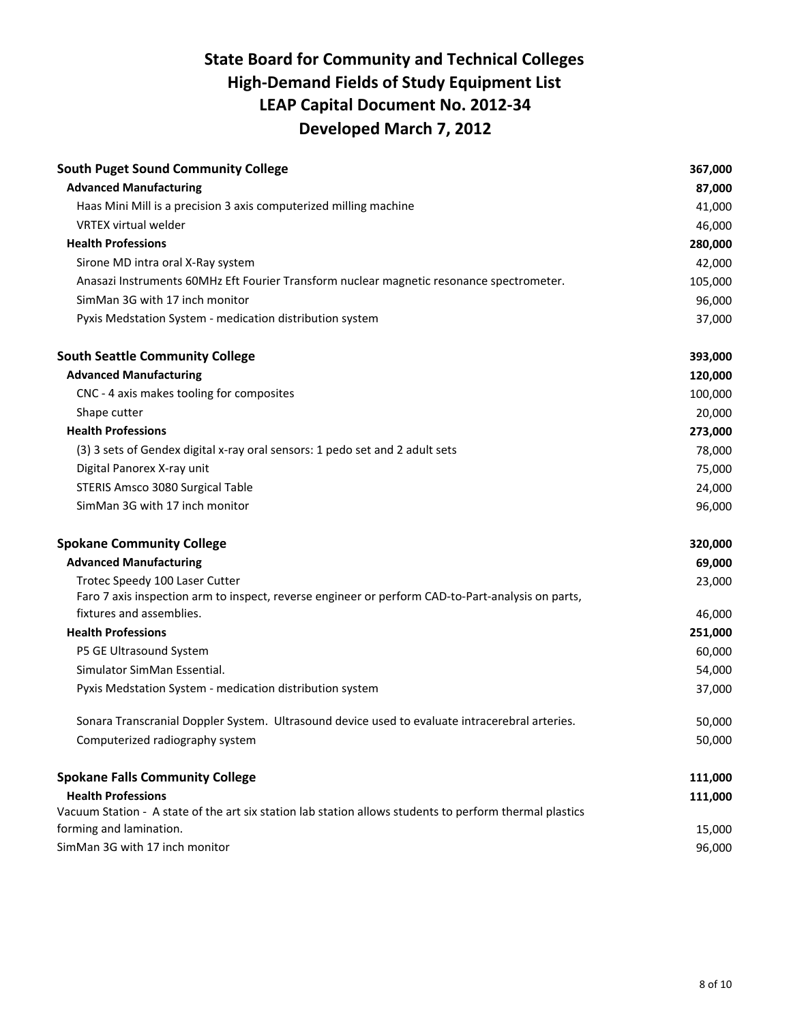| <b>South Puget Sound Community College</b>                                                              | 367,000 |
|---------------------------------------------------------------------------------------------------------|---------|
| <b>Advanced Manufacturing</b>                                                                           | 87,000  |
| Haas Mini Mill is a precision 3 axis computerized milling machine                                       | 41,000  |
| <b>VRTEX virtual welder</b>                                                                             | 46,000  |
| <b>Health Professions</b>                                                                               | 280,000 |
| Sirone MD intra oral X-Ray system                                                                       | 42,000  |
| Anasazi Instruments 60MHz Eft Fourier Transform nuclear magnetic resonance spectrometer.                | 105,000 |
| SimMan 3G with 17 inch monitor                                                                          | 96,000  |
| Pyxis Medstation System - medication distribution system                                                | 37,000  |
| <b>South Seattle Community College</b>                                                                  | 393,000 |
| <b>Advanced Manufacturing</b>                                                                           | 120,000 |
| CNC - 4 axis makes tooling for composites                                                               | 100,000 |
| Shape cutter                                                                                            | 20,000  |
| <b>Health Professions</b>                                                                               | 273,000 |
| (3) 3 sets of Gendex digital x-ray oral sensors: 1 pedo set and 2 adult sets                            | 78,000  |
| Digital Panorex X-ray unit                                                                              | 75,000  |
| STERIS Amsco 3080 Surgical Table                                                                        | 24,000  |
| SimMan 3G with 17 inch monitor                                                                          | 96,000  |
| <b>Spokane Community College</b>                                                                        | 320,000 |
| <b>Advanced Manufacturing</b>                                                                           | 69,000  |
| Trotec Speedy 100 Laser Cutter                                                                          | 23,000  |
| Faro 7 axis inspection arm to inspect, reverse engineer or perform CAD-to-Part-analysis on parts,       |         |
| fixtures and assemblies.                                                                                | 46,000  |
| <b>Health Professions</b>                                                                               | 251,000 |
| P5 GE Ultrasound System                                                                                 | 60,000  |
| Simulator SimMan Essential.                                                                             | 54,000  |
| Pyxis Medstation System - medication distribution system                                                | 37,000  |
| Sonara Transcranial Doppler System. Ultrasound device used to evaluate intracerebral arteries.          | 50,000  |
| Computerized radiography system                                                                         | 50,000  |
| <b>Spokane Falls Community College</b>                                                                  | 111,000 |
| <b>Health Professions</b>                                                                               | 111,000 |
| Vacuum Station - A state of the art six station lab station allows students to perform thermal plastics |         |
| forming and lamination.                                                                                 | 15,000  |
| SimMan 3G with 17 inch monitor                                                                          | 96,000  |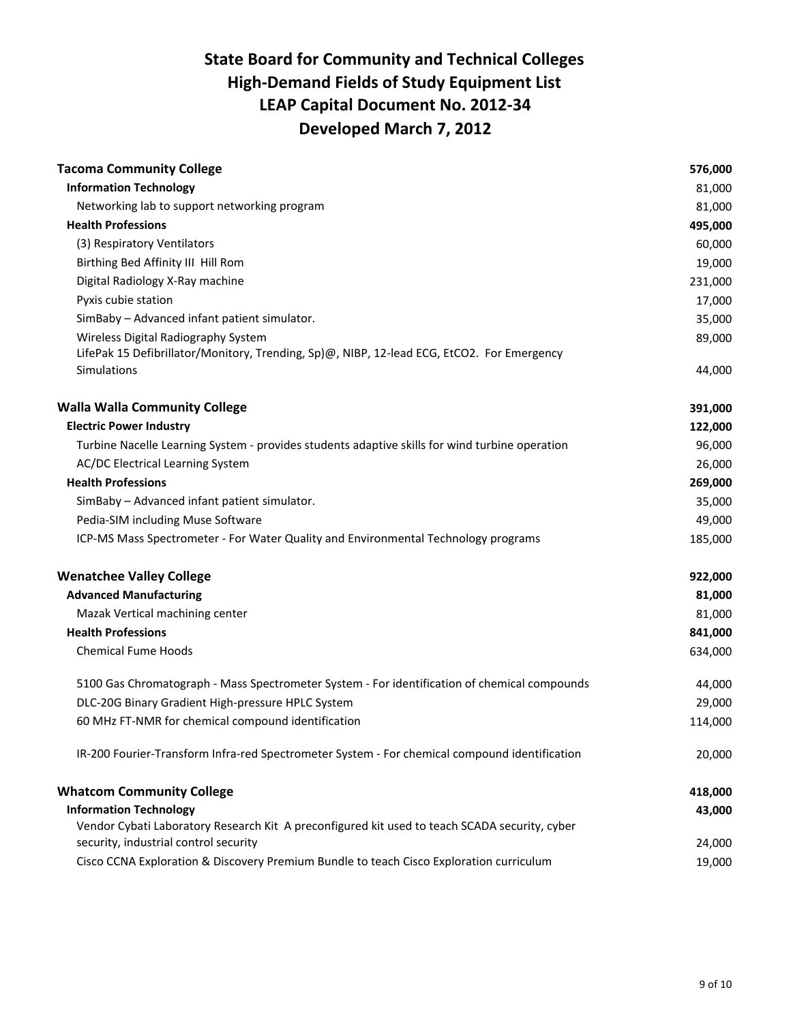| <b>Tacoma Community College</b>                                                                                                                  | 576,000          |
|--------------------------------------------------------------------------------------------------------------------------------------------------|------------------|
| <b>Information Technology</b>                                                                                                                    | 81,000           |
| Networking lab to support networking program                                                                                                     | 81,000           |
| <b>Health Professions</b>                                                                                                                        | 495,000          |
| (3) Respiratory Ventilators                                                                                                                      | 60,000           |
| Birthing Bed Affinity III Hill Rom                                                                                                               | 19,000           |
| Digital Radiology X-Ray machine                                                                                                                  | 231,000          |
| Pyxis cubie station                                                                                                                              | 17,000           |
| SimBaby - Advanced infant patient simulator.                                                                                                     | 35,000           |
| Wireless Digital Radiography System<br>LifePak 15 Defibrillator/Monitory, Trending, Sp)@, NIBP, 12-lead ECG, EtCO2. For Emergency<br>Simulations | 89,000<br>44,000 |
| <b>Walla Walla Community College</b>                                                                                                             | 391,000          |
| <b>Electric Power Industry</b>                                                                                                                   | 122,000          |
| Turbine Nacelle Learning System - provides students adaptive skills for wind turbine operation                                                   | 96,000           |
| AC/DC Electrical Learning System                                                                                                                 | 26,000           |
| <b>Health Professions</b>                                                                                                                        | 269,000          |
| SimBaby - Advanced infant patient simulator.                                                                                                     | 35,000           |
| Pedia-SIM including Muse Software                                                                                                                | 49,000           |
| ICP-MS Mass Spectrometer - For Water Quality and Environmental Technology programs                                                               | 185,000          |
| <b>Wenatchee Valley College</b>                                                                                                                  | 922,000          |
| <b>Advanced Manufacturing</b>                                                                                                                    | 81,000           |
| Mazak Vertical machining center                                                                                                                  | 81,000           |
| <b>Health Professions</b>                                                                                                                        | 841,000          |
| <b>Chemical Fume Hoods</b>                                                                                                                       | 634,000          |
| 5100 Gas Chromatograph - Mass Spectrometer System - For identification of chemical compounds                                                     | 44,000           |
| DLC-20G Binary Gradient High-pressure HPLC System                                                                                                | 29,000           |
| 60 MHz FT-NMR for chemical compound identification                                                                                               | 114,000          |
| IR-200 Fourier-Transform Infra-red Spectrometer System - For chemical compound identification                                                    | 20,000           |
| <b>Whatcom Community College</b>                                                                                                                 | 418,000          |
| <b>Information Technology</b>                                                                                                                    | 43,000           |
| Vendor Cybati Laboratory Research Kit A preconfigured kit used to teach SCADA security, cyber                                                    |                  |
| security, industrial control security                                                                                                            | 24,000           |
| Cisco CCNA Exploration & Discovery Premium Bundle to teach Cisco Exploration curriculum                                                          | 19,000           |